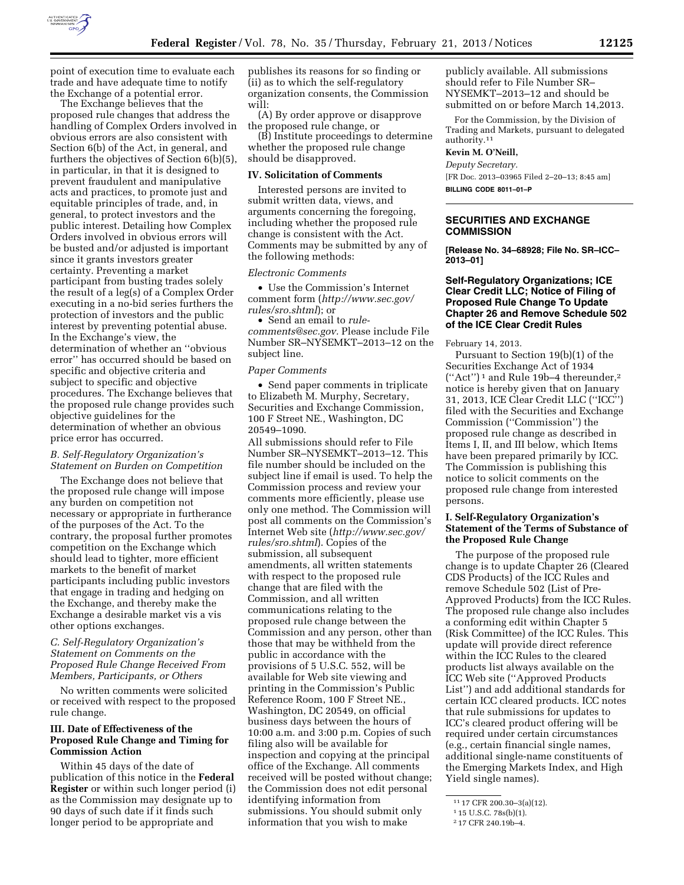

point of execution time to evaluate each trade and have adequate time to notify the Exchange of a potential error.

The Exchange believes that the proposed rule changes that address the handling of Complex Orders involved in obvious errors are also consistent with Section 6(b) of the Act, in general, and furthers the objectives of Section 6(b)(5), in particular, in that it is designed to prevent fraudulent and manipulative acts and practices, to promote just and equitable principles of trade, and, in general, to protect investors and the public interest. Detailing how Complex Orders involved in obvious errors will be busted and/or adjusted is important since it grants investors greater certainty. Preventing a market participant from busting trades solely the result of a leg(s) of a Complex Order executing in a no-bid series furthers the protection of investors and the public interest by preventing potential abuse. In the Exchange's view, the determination of whether an ''obvious error'' has occurred should be based on specific and objective criteria and subject to specific and objective procedures. The Exchange believes that the proposed rule change provides such objective guidelines for the determination of whether an obvious price error has occurred.

# *B. Self-Regulatory Organization's Statement on Burden on Competition*

The Exchange does not believe that the proposed rule change will impose any burden on competition not necessary or appropriate in furtherance of the purposes of the Act. To the contrary, the proposal further promotes competition on the Exchange which should lead to tighter, more efficient markets to the benefit of market participants including public investors that engage in trading and hedging on the Exchange, and thereby make the Exchange a desirable market vis a vis other options exchanges.

## *C. Self-Regulatory Organization's Statement on Comments on the Proposed Rule Change Received From Members, Participants, or Others*

No written comments were solicited or received with respect to the proposed rule change.

# **III. Date of Effectiveness of the Proposed Rule Change and Timing for Commission Action**

Within 45 days of the date of publication of this notice in the **Federal Register** or within such longer period (i) as the Commission may designate up to 90 days of such date if it finds such longer period to be appropriate and

publishes its reasons for so finding or (ii) as to which the self-regulatory organization consents, the Commission will:

(A) By order approve or disapprove the proposed rule change, or

(B) Institute proceedings to determine whether the proposed rule change should be disapproved.

#### **IV. Solicitation of Comments**

Interested persons are invited to submit written data, views, and arguments concerning the foregoing, including whether the proposed rule change is consistent with the Act. Comments may be submitted by any of the following methods:

#### *Electronic Comments*

• Use the Commission's Internet comment form (*[http://www.sec.gov/](http://www.sec.gov/rules/sro.shtml)  [rules/sro.shtml](http://www.sec.gov/rules/sro.shtml)*); or

• Send an email to *[rule](mailto:rule-comments@sec.gov)[comments@sec.gov.](mailto:rule-comments@sec.gov)* Please include File Number SR–NYSEMKT–2013–12 on the subject line.

#### *Paper Comments*

• Send paper comments in triplicate to Elizabeth M. Murphy, Secretary, Securities and Exchange Commission, 100 F Street NE., Washington, DC 20549–1090.

All submissions should refer to File Number SR–NYSEMKT–2013–12. This file number should be included on the subject line if email is used. To help the Commission process and review your comments more efficiently, please use only one method. The Commission will post all comments on the Commission's Internet Web site (*[http://www.sec.gov/](http://www.sec.gov/rules/sro.shtml)  [rules/sro.shtml](http://www.sec.gov/rules/sro.shtml)*). Copies of the submission, all subsequent amendments, all written statements with respect to the proposed rule change that are filed with the Commission, and all written communications relating to the proposed rule change between the Commission and any person, other than those that may be withheld from the public in accordance with the provisions of 5 U.S.C. 552, will be available for Web site viewing and printing in the Commission's Public Reference Room, 100 F Street NE., Washington, DC 20549, on official business days between the hours of 10:00 a.m. and 3:00 p.m. Copies of such filing also will be available for inspection and copying at the principal office of the Exchange. All comments received will be posted without change; the Commission does not edit personal identifying information from submissions. You should submit only information that you wish to make

publicly available. All submissions should refer to File Number SR– NYSEMKT–2013–12 and should be submitted on or before March 14,2013.

For the Commission, by the Division of Trading and Markets, pursuant to delegated authority.11

# **Kevin M. O'Neill,**

*Deputy Secretary.*  [FR Doc. 2013–03965 Filed 2–20–13; 8:45 am] **BILLING CODE 8011–01–P** 

#### **SECURITIES AND EXCHANGE COMMISSION**

**[Release No. 34–68928; File No. SR–ICC– 2013–01]** 

### **Self-Regulatory Organizations; ICE Clear Credit LLC; Notice of Filing of Proposed Rule Change To Update Chapter 26 and Remove Schedule 502 of the ICE Clear Credit Rules**

February 14, 2013.

Pursuant to Section 19(b)(1) of the Securities Exchange Act of 1934  $("Act")^1$  and Rule 19b-4 thereunder,<sup>2</sup> notice is hereby given that on January 31, 2013, ICE Clear Credit LLC (''ICC'') filed with the Securities and Exchange Commission (''Commission'') the proposed rule change as described in Items I, II, and III below, which Items have been prepared primarily by ICC. The Commission is publishing this notice to solicit comments on the proposed rule change from interested persons.

## **I. Self-Regulatory Organization's Statement of the Terms of Substance of the Proposed Rule Change**

The purpose of the proposed rule change is to update Chapter 26 (Cleared CDS Products) of the ICC Rules and remove Schedule 502 (List of Pre-Approved Products) from the ICC Rules. The proposed rule change also includes a conforming edit within Chapter 5 (Risk Committee) of the ICC Rules. This update will provide direct reference within the ICC Rules to the cleared products list always available on the ICC Web site (''Approved Products List'') and add additional standards for certain ICC cleared products. ICC notes that rule submissions for updates to ICC's cleared product offering will be required under certain circumstances (e.g., certain financial single names, additional single-name constituents of the Emerging Markets Index, and High Yield single names).

<sup>11</sup> 17 CFR 200.30–3(a)(12).

<sup>1</sup> 15 U.S.C. 78s(b)(1).

<sup>2</sup> 17 CFR 240.19b–4.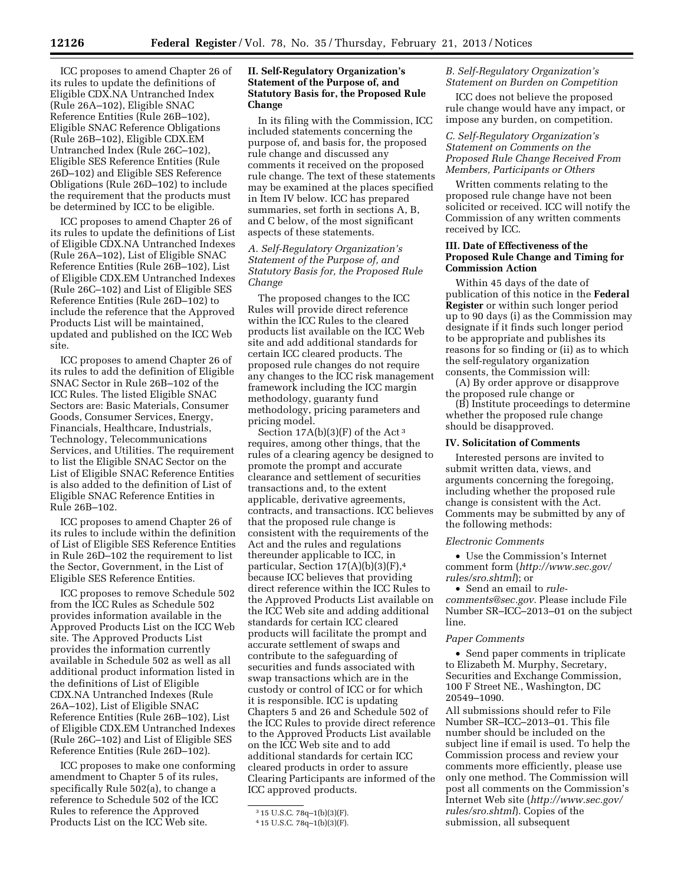ICC proposes to amend Chapter 26 of its rules to update the definitions of Eligible CDX.NA Untranched Index (Rule 26A–102), Eligible SNAC Reference Entities (Rule 26B–102), Eligible SNAC Reference Obligations (Rule 26B–102), Eligible CDX.EM Untranched Index (Rule 26C–102), Eligible SES Reference Entities (Rule 26D–102) and Eligible SES Reference Obligations (Rule 26D–102) to include the requirement that the products must be determined by ICC to be eligible.

ICC proposes to amend Chapter 26 of its rules to update the definitions of List of Eligible CDX.NA Untranched Indexes (Rule 26A–102), List of Eligible SNAC Reference Entities (Rule 26B–102), List of Eligible CDX.EM Untranched Indexes (Rule 26C–102) and List of Eligible SES Reference Entities (Rule 26D–102) to include the reference that the Approved Products List will be maintained, updated and published on the ICC Web site.

ICC proposes to amend Chapter 26 of its rules to add the definition of Eligible SNAC Sector in Rule 26B–102 of the ICC Rules. The listed Eligible SNAC Sectors are: Basic Materials, Consumer Goods, Consumer Services, Energy, Financials, Healthcare, Industrials, Technology, Telecommunications Services, and Utilities. The requirement to list the Eligible SNAC Sector on the List of Eligible SNAC Reference Entities is also added to the definition of List of Eligible SNAC Reference Entities in Rule 26B–102.

ICC proposes to amend Chapter 26 of its rules to include within the definition of List of Eligible SES Reference Entities in Rule 26D–102 the requirement to list the Sector, Government, in the List of Eligible SES Reference Entities.

ICC proposes to remove Schedule 502 from the ICC Rules as Schedule 502 provides information available in the Approved Products List on the ICC Web site. The Approved Products List provides the information currently available in Schedule 502 as well as all additional product information listed in the definitions of List of Eligible CDX.NA Untranched Indexes (Rule 26A–102), List of Eligible SNAC Reference Entities (Rule 26B–102), List of Eligible CDX.EM Untranched Indexes (Rule 26C–102) and List of Eligible SES Reference Entities (Rule 26D–102).

ICC proposes to make one conforming amendment to Chapter 5 of its rules, specifically Rule 502(a), to change a reference to Schedule 502 of the ICC Rules to reference the Approved Products List on the ICC Web site.

## **II. Self-Regulatory Organization's Statement of the Purpose of, and Statutory Basis for, the Proposed Rule Change**

In its filing with the Commission, ICC included statements concerning the purpose of, and basis for, the proposed rule change and discussed any comments it received on the proposed rule change. The text of these statements may be examined at the places specified in Item IV below. ICC has prepared summaries, set forth in sections A, B, and C below, of the most significant aspects of these statements.

## *A. Self-Regulatory Organization's Statement of the Purpose of, and Statutory Basis for, the Proposed Rule Change*

The proposed changes to the ICC Rules will provide direct reference within the ICC Rules to the cleared products list available on the ICC Web site and add additional standards for certain ICC cleared products. The proposed rule changes do not require any changes to the ICC risk management framework including the ICC margin methodology, guaranty fund methodology, pricing parameters and pricing model.

Section 17A(b)(3)(F) of the Act 3 requires, among other things, that the rules of a clearing agency be designed to promote the prompt and accurate clearance and settlement of securities transactions and, to the extent applicable, derivative agreements, contracts, and transactions. ICC believes that the proposed rule change is consistent with the requirements of the Act and the rules and regulations thereunder applicable to ICC, in particular, Section  $17(A)(b)(3)(F)$ ,<sup>4</sup> because ICC believes that providing direct reference within the ICC Rules to the Approved Products List available on the ICC Web site and adding additional standards for certain ICC cleared products will facilitate the prompt and accurate settlement of swaps and contribute to the safeguarding of securities and funds associated with swap transactions which are in the custody or control of ICC or for which it is responsible. ICC is updating Chapters 5 and 26 and Schedule 502 of the ICC Rules to provide direct reference to the Approved Products List available on the ICC Web site and to add additional standards for certain ICC cleared products in order to assure Clearing Participants are informed of the ICC approved products.

### *B. Self-Regulatory Organization's Statement on Burden on Competition*

ICC does not believe the proposed rule change would have any impact, or impose any burden, on competition.

## *C. Self-Regulatory Organization's Statement on Comments on the Proposed Rule Change Received From Members, Participants or Others*

Written comments relating to the proposed rule change have not been solicited or received. ICC will notify the Commission of any written comments received by ICC.

## **III. Date of Effectiveness of the Proposed Rule Change and Timing for Commission Action**

Within 45 days of the date of publication of this notice in the **Federal Register** or within such longer period up to 90 days (i) as the Commission may designate if it finds such longer period to be appropriate and publishes its reasons for so finding or (ii) as to which the self-regulatory organization consents, the Commission will:

(A) By order approve or disapprove the proposed rule change or

(B) Institute proceedings to determine whether the proposed rule change should be disapproved.

### **IV. Solicitation of Comments**

Interested persons are invited to submit written data, views, and arguments concerning the foregoing, including whether the proposed rule change is consistent with the Act. Comments may be submitted by any of the following methods:

#### *Electronic Comments*

• Use the Commission's Internet comment form (*[http://www.sec.gov/](http://www.sec.gov/rules/sro.shtml)  [rules/sro.shtml](http://www.sec.gov/rules/sro.shtml)*); or

• Send an email to *[rule](mailto:rule-comments@sec.gov)[comments@sec.gov.](mailto:rule-comments@sec.gov)* Please include File Number SR–ICC–2013–01 on the subject line.

#### *Paper Comments*

• Send paper comments in triplicate to Elizabeth M. Murphy, Secretary, Securities and Exchange Commission, 100 F Street NE., Washington, DC 20549–1090.

All submissions should refer to File Number SR–ICC–2013–01. This file number should be included on the subject line if email is used. To help the Commission process and review your comments more efficiently, please use only one method. The Commission will post all comments on the Commission's Internet Web site (*[http://www.sec.gov/](http://www.sec.gov/rules/sro.shtml)  [rules/sro.shtml](http://www.sec.gov/rules/sro.shtml)*). Copies of the submission, all subsequent

<sup>3</sup> 15 U.S.C. 78q–1(b)(3)(F).

<sup>4</sup> 15 U.S.C. 78q–1(b)(3)(F).